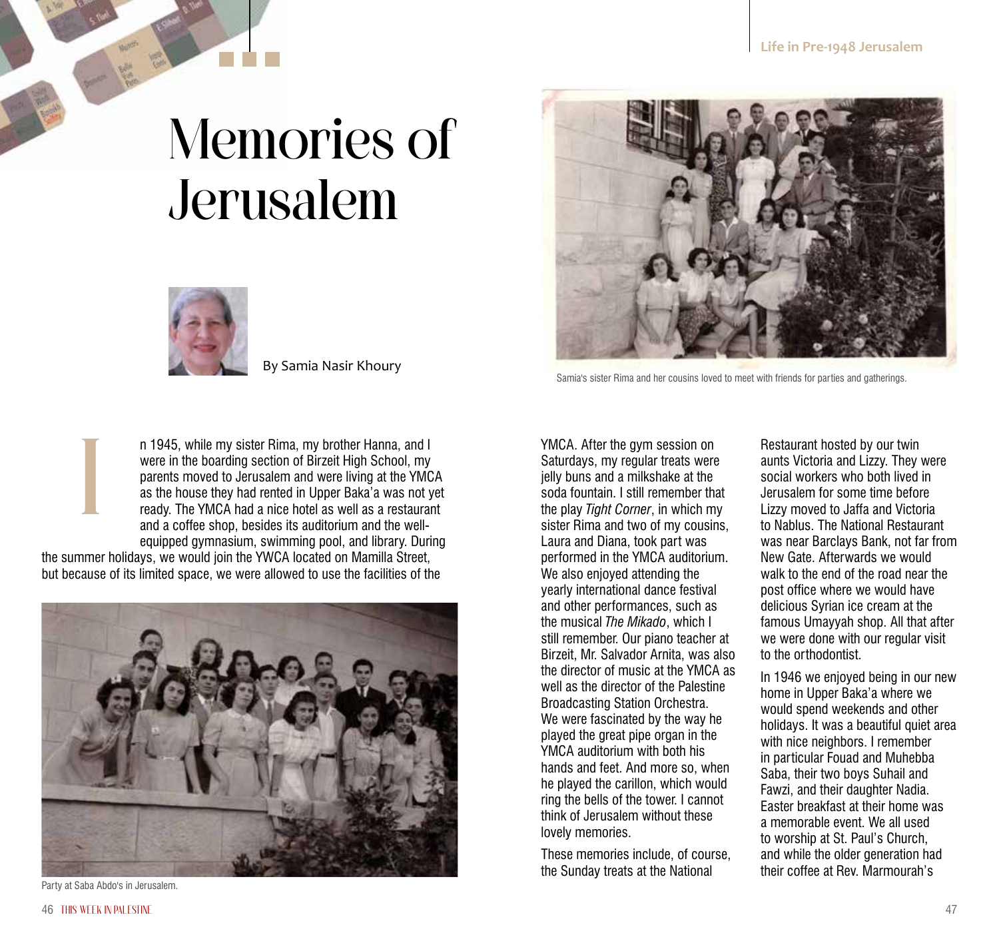## Memories of Jerusalem



By Samia Nasir Khoury

n 1945, while my sister Rima, my brother Hanna, and I were in the boarding section of Birzeit High School, my parents moved to Jerusalem and were living at the YMCA as the house they had rented in Upper Baka'a was not yet ready. The YMCA had a nice hotel as well as a restaurant and a coffee shop, besides its auditorium and the wellequipped gymnasium, swimming pool, and library. During n 1945, while my sister Rima, my brother Hanna, and I<br>were in the boarding section of Birzeit High School, my<br>parents moved to Jerusalem and were living at the YMCA<br>as the house they had rented in Upper Baka'a was not yet<br>

the summer holidays, we would join the YWCA located on Mamilla Street, but because of its limited space, we were allowed to use the facilities of the



Party at Saba Abdo's in Jerusalem.



Samia's sister Rima and her cousins loved to meet with friends for parties and gatherings.

Saturdays, my regular treats were jelly buns and a milkshake at the soda fountain. I still remember that the play *Tight Corner*, in which my sister Rima and two of my cousins, Laura and Diana, took part was performed in the YMCA auditorium. We also enjoyed attending the yearly international dance festival and other performances, such as the musical *The Mikado*, which I still remember. Our piano teacher at Birzeit, Mr. Salvador Arnita, was also the director of music at the YMCA as well as the director of the Palestine Broadcasting Station Orchestra. We were fascinated by the way he played the great pipe organ in the YMCA auditorium with both his hands and feet. And more so, when he played the carillon, which would ring the bells of the tower. I cannot think of Jerusalem without these lovely memories.

These memories include, of course, the Sunday treats at the National

Restaurant hosted by our twin aunts Victoria and Lizzy. They were social workers who both lived in Jerusalem for some time before Lizzy moved to Jaffa and Victoria to Nablus. The National Restaurant was near Barclays Bank, not far from New Gate. Afterwards we would walk to the end of the road near the post office where we would have delicious Syrian ice cream at the famous Umayyah shop. All that after we were done with our regular visit to the orthodontist.

In 1946 we enjoyed being in our new home in Upper Baka'a where we would spend weekends and other holidays. It was a beautiful quiet area with nice neighbors. I remember in particular Fouad and Muhebba Saba, their two boys Suhail and Fawzi, and their daughter Nadia. Easter breakfast at their home was a memorable event. We all used to worship at St. Paul's Church, and while the older generation had their coffee at Rev. Marmourah's